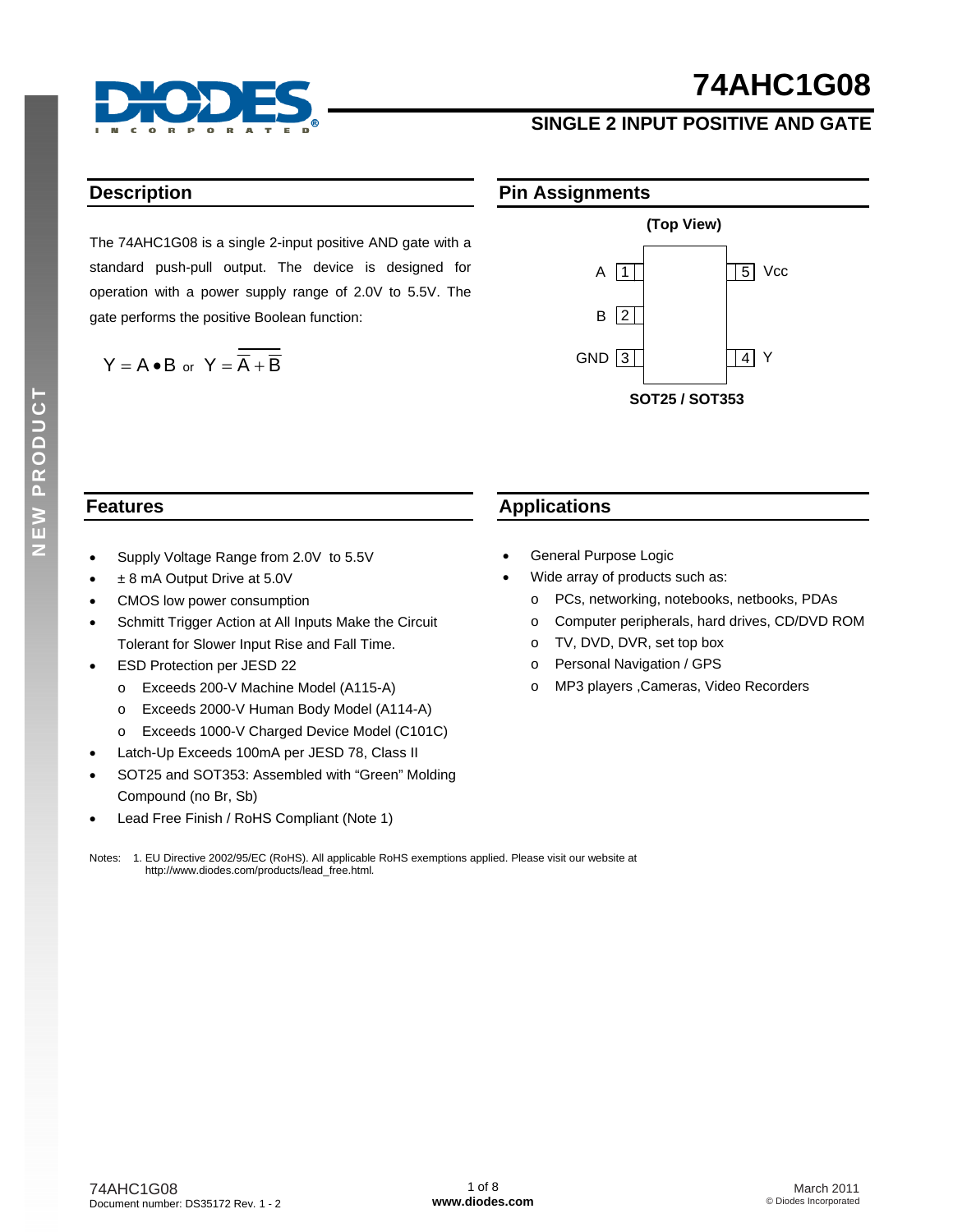

### **SINGLE 2 INPUT POSITIVE AND GATE**

### **Description**

The 74AHC1G08 is a single 2-input positive AND gate with a standard push-pull output. The device is designed for operation with a power supply range of 2.0V to 5.5V. The gate performs the positive Boolean function:

$$
Y = A \bullet B \text{ or } Y = \overline{\overline{A} + \overline{B}}
$$





### **Features**

- Supply Voltage Range from 2.0V to 5.5V
- ± 8 mA Output Drive at 5.0V
- CMOS low power consumption
- Schmitt Trigger Action at All Inputs Make the Circuit Tolerant for Slower Input Rise and Fall Time.
- ESD Protection per JESD 22
	- o Exceeds 200-V Machine Model (A115-A)
	- o Exceeds 2000-V Human Body Model (A114-A)
	- o Exceeds 1000-V Charged Device Model (C101C)
- Latch-Up Exceeds 100mA per JESD 78, Class II
- SOT25 and SOT353: Assembled with "Green" Molding Compound (no Br, Sb)
- Lead Free Finish / RoHS Compliant (Note 1)

### **Applications**

- General Purpose Logic
- Wide array of products such as:
	- o PCs, networking, notebooks, netbooks, PDAs
	- o Computer peripherals, hard drives, CD/DVD ROM
	- o TV, DVD, DVR, set top box
	- o Personal Navigation / GPS
	- o MP3 players ,Cameras, Video Recorders

Notes: 1. EU Directive 2002/95/EC (RoHS). All applicable RoHS exemptions applied. Please visit our website at [http://www.diodes.com/products/lead\\_free.html](http://www.diodes.com/products/lead_free.html)*.*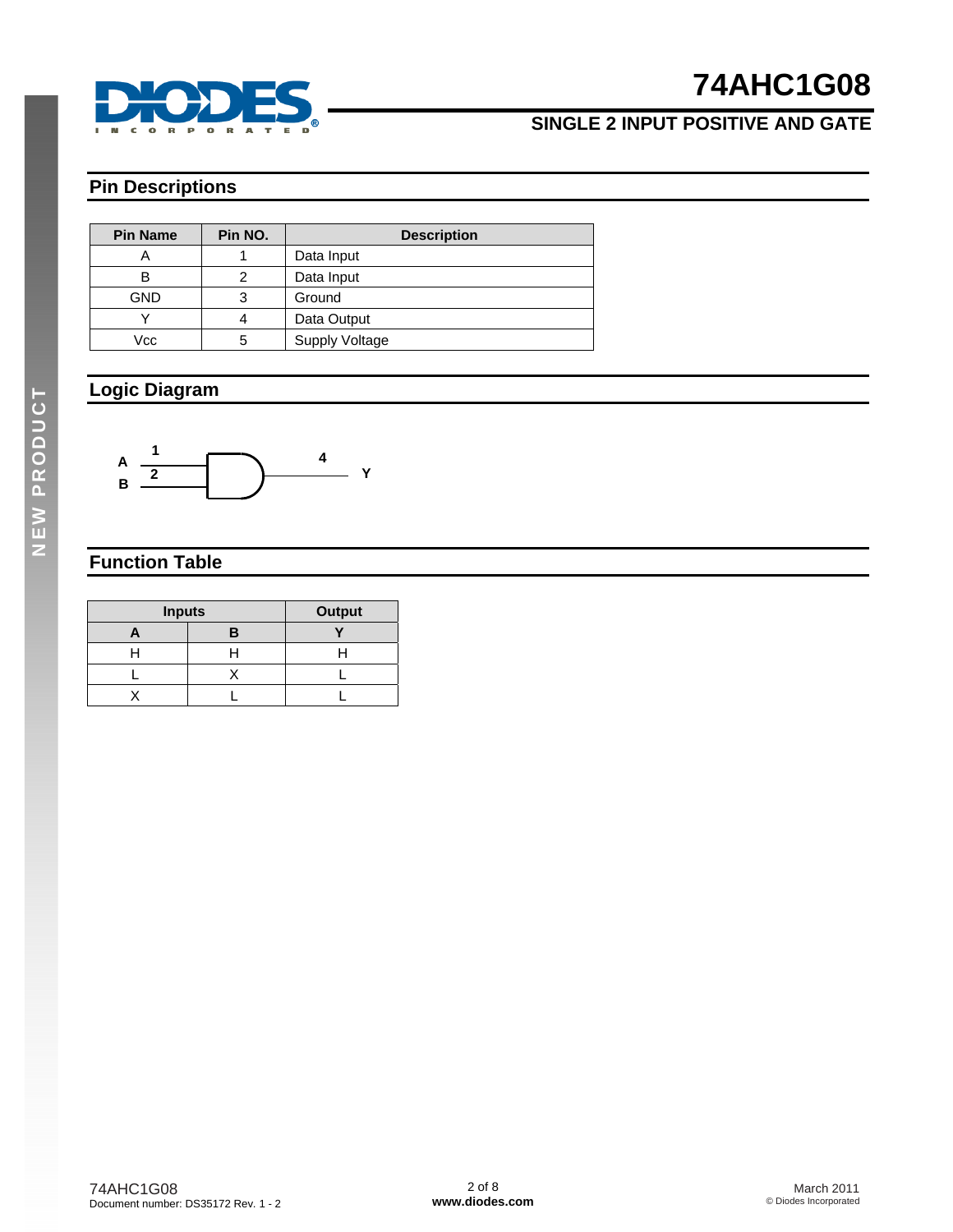

## **SINGLE 2 INPUT POSITIVE AND GATE**

### **Pin Descriptions**

| <b>Pin Name</b> | Pin NO. | <b>Description</b>    |  |  |
|-----------------|---------|-----------------------|--|--|
|                 |         | Data Input            |  |  |
| в               | っ       | Data Input            |  |  |
| <b>GND</b>      | 3       | Ground                |  |  |
|                 |         | Data Output           |  |  |
| Vcc             | 5       | <b>Supply Voltage</b> |  |  |

### **Logic Diagram**



### **Function Table**

| <b>Inputs</b> | <b>Output</b> |  |
|---------------|---------------|--|
|               |               |  |
|               |               |  |
|               |               |  |
|               |               |  |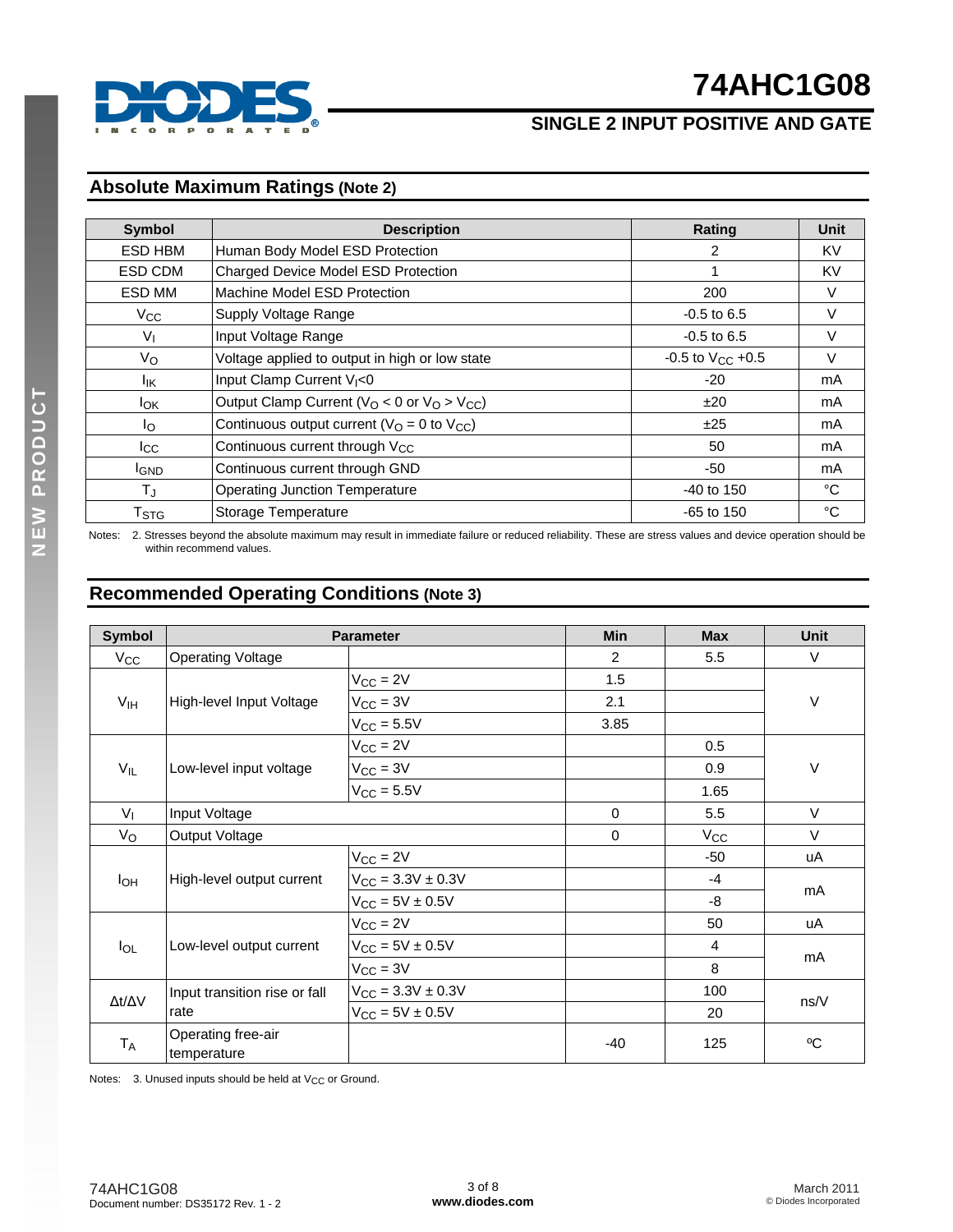

## **SINGLE 2 INPUT POSITIVE AND GATE**

### **Absolute Maximum Ratings (Note 2)**

| <b>Symbol</b>             | <b>Description</b>                                     | <b>Rating</b>           | Unit   |
|---------------------------|--------------------------------------------------------|-------------------------|--------|
| ESD HBM                   | Human Body Model ESD Protection                        | 2                       | KV     |
| ESD CDM                   | Charged Device Model ESD Protection                    | 1                       | KV     |
| ESD MM                    | Machine Model ESD Protection                           | 200                     | V      |
| $V_{CC}$                  | Supply Voltage Range                                   | $-0.5$ to 6.5           | $\vee$ |
| $V_{I}$                   | Input Voltage Range                                    | $-0.5$ to 6.5           | V      |
| Vo                        | Voltage applied to output in high or low state         | $-0.5$ to $V_{CC}$ +0.5 | V      |
| lικ                       | Input Clamp Current V <sub>I</sub> <0                  | $-20$                   | mA     |
| <b>I</b> <sub>OK</sub>    | Output Clamp Current ( $V_O$ < 0 or $V_O$ > $V_{CC}$ ) | ±20                     | mA     |
| Ιo                        | Continuous output current ( $VO = 0$ to $VCC$ )        | ±25                     | mA     |
| $_{\rm lcc}$              | Continuous current through V <sub>CC</sub>             | 50                      | mA     |
| <b>I</b> GND              | Continuous current through GND                         | -50                     | mA     |
| $T_{\rm J}$               | <b>Operating Junction Temperature</b>                  | $-40$ to 150            | °C     |
| $\mathsf{T}_{\text{STG}}$ | Storage Temperature                                    | $-65$ to 150            | °C     |

Notes: 2. Stresses beyond the absolute maximum may result in immediate failure or reduced reliability. These are stress values and device operation should be within recommend values.

### **Recommended Operating Conditions (Note 3)**

| <b>Symbol</b>       |                                   | <b>Parameter</b>                | Min         | <b>Max</b>     | <b>Unit</b> |
|---------------------|-----------------------------------|---------------------------------|-------------|----------------|-------------|
| $V_{\rm CC}$        | <b>Operating Voltage</b>          |                                 | 2           | 5.5            | V           |
|                     |                                   | $V_{CC} = 2V$                   | 1.5         |                |             |
| V <sub>IH</sub>     | High-level Input Voltage          | $V_{CC} = 3V$                   | 2.1         |                | $\vee$      |
|                     |                                   | $V_{\text{CC}} = 5.5V$          | 3.85        |                |             |
|                     |                                   | $V_{CC} = 2V$                   |             | 0.5            |             |
| $V_{IL}$            | Low-level input voltage           | $V_{CC} = 3V$                   |             | 0.9            | V           |
|                     |                                   | $V_{\text{CC}} = 5.5V$          |             | 1.65           |             |
| V <sub>1</sub>      | Input Voltage                     |                                 | $\mathbf 0$ | 5.5            | $\vee$      |
| $V_{\rm O}$         | Output Voltage                    |                                 | 0           | $V_{CC}$       | $\vee$      |
|                     |                                   | $V_{CC} = 2V$                   |             | $-50$          | uA          |
| $I_{OH}$            | High-level output current         | $V_{CC} = 3.3V \pm 0.3V$        |             | $-4$           |             |
|                     |                                   | $V_{CC} = 5V \pm 0.5V$          |             | -8             | mA          |
|                     |                                   | $V_{CC} = 2V$                   |             | 50             | uA          |
| $I_{OL}$            | Low-level output current          | $V_{CC} = 5V \pm 0.5V$          |             | $\overline{4}$ |             |
|                     |                                   | $V_{CC} = 3V$                   |             | 8              | mA          |
|                     | Input transition rise or fall     | $V_{\text{CC}} = 3.3V \pm 0.3V$ |             | 100            |             |
| $\Delta t/\Delta V$ | rate                              | $V_{CC} = 5V \pm 0.5V$          |             | 20             | ns/V        |
| $T_A$               | Operating free-air<br>temperature |                                 | -40         | 125            | °C          |

Notes:  $3.$  Unused inputs should be held at  $V_{CC}$  or Ground.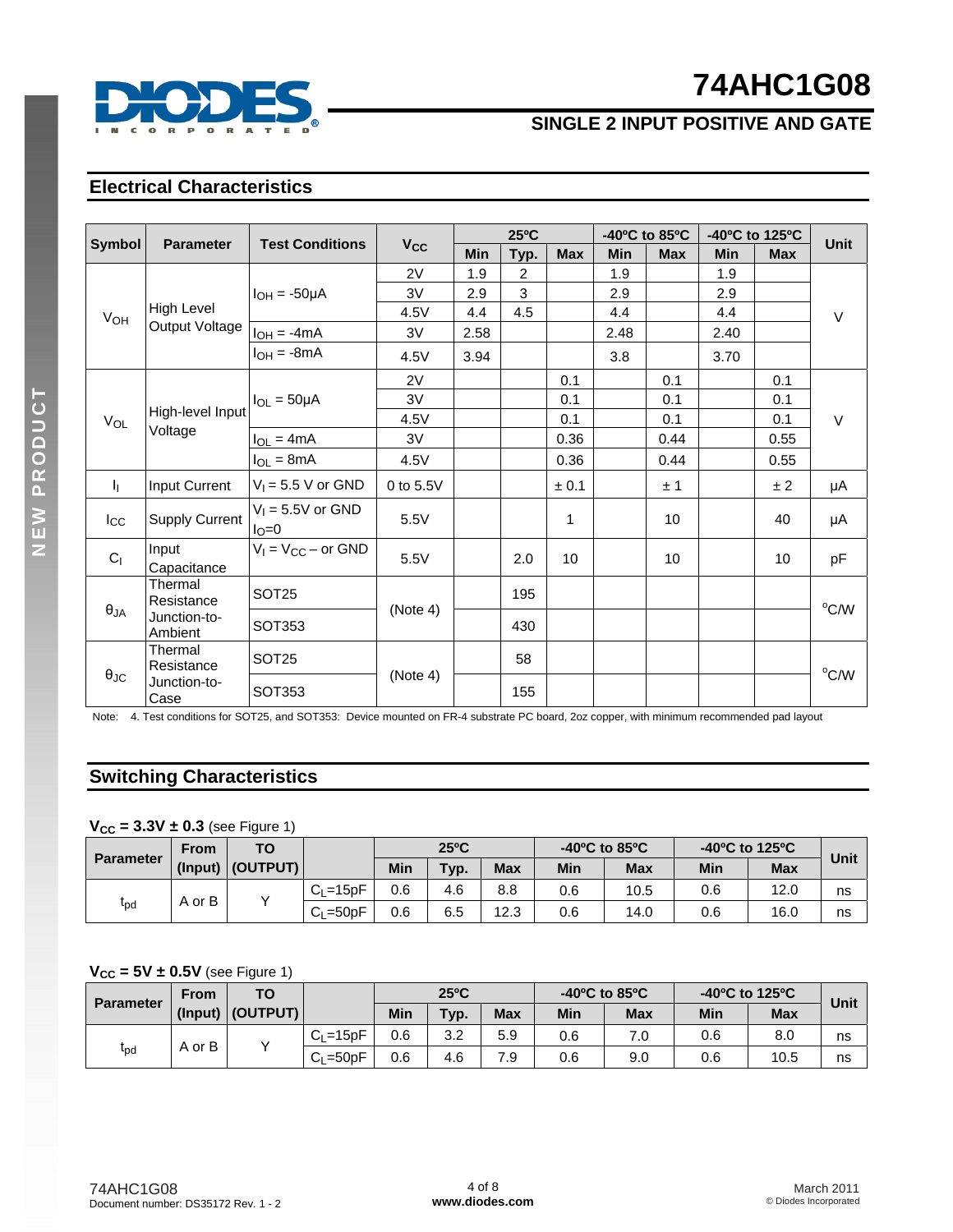

## **SINGLE 2 INPUT POSITIVE AND GATE**

### **Electrical Characteristics**

|                       | <b>Parameter</b>        |                                      |                       |            | $25^{\circ}$ C |              |            | -40°C to 85°C |            | -40°C to 125°C | <b>Unit</b> |
|-----------------------|-------------------------|--------------------------------------|-----------------------|------------|----------------|--------------|------------|---------------|------------|----------------|-------------|
| Symbol                |                         | <b>Test Conditions</b>               | <b>V<sub>cc</sub></b> | <b>Min</b> | Typ.           | <b>Max</b>   | <b>Min</b> | <b>Max</b>    | <b>Min</b> | <b>Max</b>     |             |
|                       |                         |                                      | 2V                    | 1.9        | $\overline{2}$ |              | 1.9        |               | 1.9        |                |             |
|                       |                         | $I_{OH} = -50\mu A$                  | 3V                    | 2.9        | 3              |              | 2.9        |               | 2.9        |                |             |
| V <sub>OH</sub>       | High Level              |                                      | 4.5V                  | 4.4        | 4.5            |              | 4.4        |               | 4.4        |                | $\vee$      |
|                       | Output Voltage          | $I_{OH} = -4mA$                      | 3V                    | 2.58       |                |              | 2.48       |               | 2.40       |                |             |
|                       |                         | $I_{OH} = -8mA$                      | 4.5V                  | 3.94       |                |              | 3.8        |               | 3.70       |                |             |
|                       |                         |                                      | 2V                    |            |                | 0.1          |            | 0.1           |            | 0.1            |             |
|                       |                         | $I_{OL} = 50 \mu A$                  | 3V                    |            |                | 0.1          |            | 0.1           |            | 0.1            |             |
| $V_{OL}$              | High-level Input        |                                      | 4.5V                  |            |                | 0.1          |            | 0.1           |            | 0.1            | $\vee$      |
| Voltage               | $I_{OL} = 4mA$          | 3V                                   |                       |            | 0.36           |              | 0.44       |               | 0.55       |                |             |
|                       |                         | $I_{OL} = 8mA$                       | 4.5V                  |            |                | 0.36         |            | 0.44          |            | 0.55           |             |
| Τη.                   | Input Current           | $V_1 = 5.5 V$ or GND                 | 0 to 5.5V             |            |                | ± 0.1        |            | ±1            |            | ±2             | μA          |
| $I_{\rm CC}$          | <b>Supply Current</b>   | $V_1 = 5.5V$ or GND<br>$I_{\rm O}=0$ | 5.5V                  |            |                | $\mathbf{1}$ |            | 10            |            | 40             | μA          |
| C <sub>1</sub>        | Input<br>Capacitance    | $V_1 = V_{CC}$ – or GND              | 5.5V                  |            | 2.0            | 10           |            | 10            |            | 10             | pF          |
|                       | Thermal<br>Resistance   | SOT <sub>25</sub>                    |                       |            | 195            |              |            |               |            |                | °C/W        |
| $\theta_{JA}$         | Junction-to-<br>Ambient | SOT353                               | (Note 4)              |            | 430            |              |            |               |            |                |             |
| Thermal<br>Resistance | SOT <sub>25</sub>       |                                      |                       | 58         |                |              |            |               |            | $^{\circ}$ C/W |             |
| $\theta_{\text{JC}}$  | Junction-to-<br>Case    | SOT353                               | (Note 4)              |            | 155            |              |            |               |            |                |             |

Note: 4. Test conditions for SOT25, and SOT353: Device mounted on FR-4 substrate PC board, 2oz copper, with minimum recommended pad layout

### **Switching Characteristics**

#### $V_{CC} = 3.3V \pm 0.3$  (see Figure 1)

|                  | <b>From</b> | ТО                 |                |     | $25^{\circ}$ C |            |     | $-40^{\circ}$ C to 85 $^{\circ}$ C |     | -40°C to 125°C | Unit |
|------------------|-------------|--------------------|----------------|-----|----------------|------------|-----|------------------------------------|-----|----------------|------|
| <b>Parameter</b> |             | (Input)   (OUTPUT) |                | Min | Typ.           | <b>Max</b> | Min | <b>Max</b>                         | Min | <b>Max</b>     |      |
|                  |             |                    | $C_{L} = 15pF$ | 0.6 | 4.6            | 8.8        | 0.6 | 10.5                               | 0.6 | 12.0           | ns   |
| $t_{\sf pd}$     | A or B      |                    | $C1 = 50pF$    | 0.6 | 6.5            | 12.3       | 0.6 | 14.0                               | 0.6 | 16.0           | ns   |

#### $V_{CC}$  =  $5V \pm 0.5V$  (see Figure 1)

|                              | From    | TO       |                |     | $25^{\circ}$ C |            |     | $-40^{\circ}$ C to 85 $^{\circ}$ C | -40°C to 125°C |            | Unit |
|------------------------------|---------|----------|----------------|-----|----------------|------------|-----|------------------------------------|----------------|------------|------|
| <b>Parameter</b>             | (Input) | (OUTPUT) |                | Min | Typ.           | <b>Max</b> | Min | <b>Max</b>                         | Min            | <b>Max</b> |      |
|                              | A or B  |          | $C_{L} = 15pF$ | 0.6 | 3.2            | 5.9        | 0.6 | 0.'                                | 0.6            | 8.0        | ns   |
| $\mathfrak{r}_{\mathsf{pd}}$ |         |          | $C1 = 50pF$    | 0.6 | 4.6            | 7 Q        | 0.6 | 9.0                                | 0.6            | 10.5       | ns   |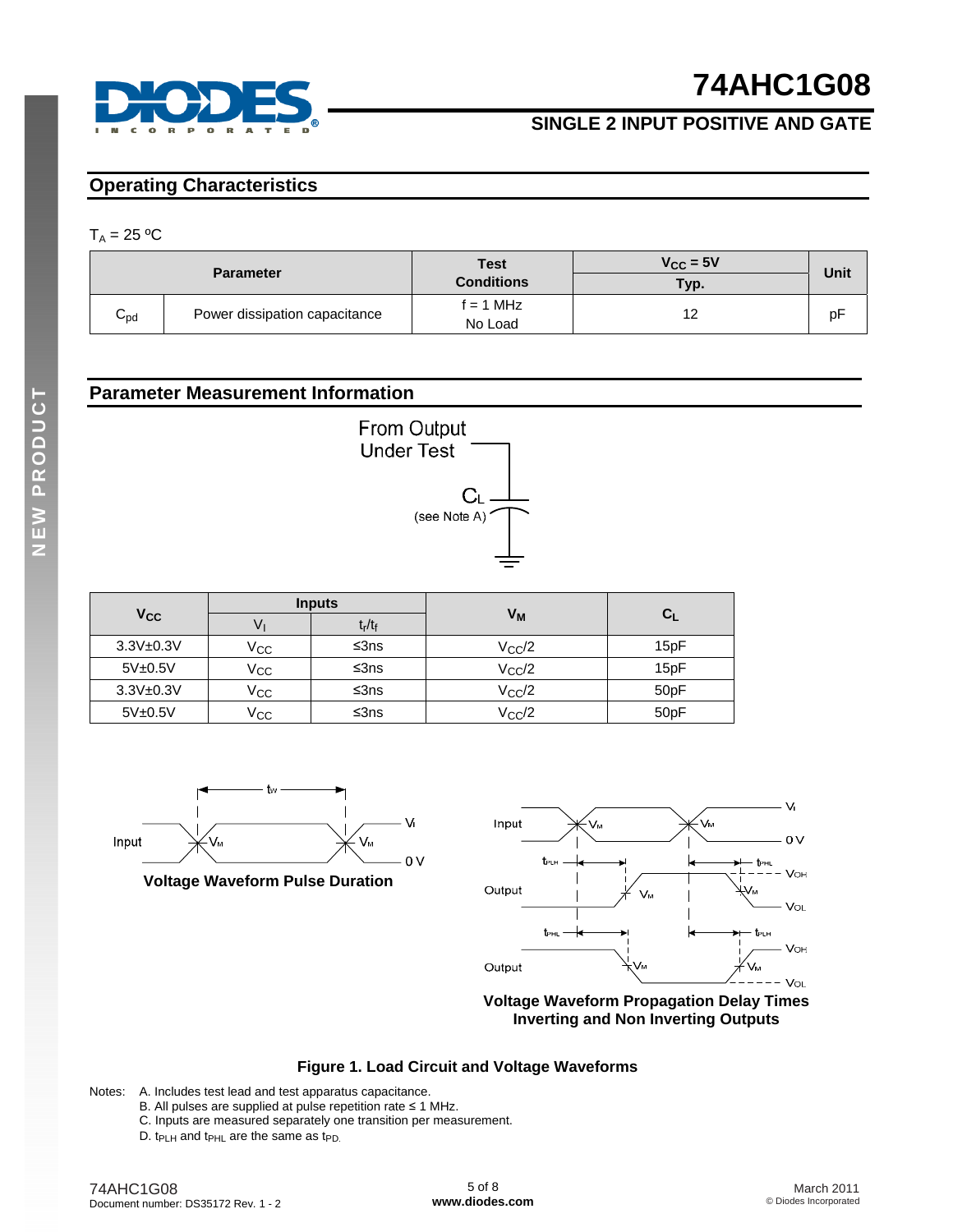

### **SINGLE 2 INPUT POSITIVE AND GATE**

### **Operating Characteristics**

#### $T_A = 25 °C$

|                 | <b>Parameter</b>              | <b>Test</b><br><b>Conditions</b> | $V_{\rm CC} = 5V$<br>Typ. | Unit |
|-----------------|-------------------------------|----------------------------------|---------------------------|------|
| $C_{\text{pd}}$ | Power dissipation capacitance | $f = 1$ MHz<br>No Load           | 12                        | рŀ   |

### **Parameter Measurement Information**



|                       |              | <b>Inputs</b>                  |                 |                   |
|-----------------------|--------------|--------------------------------|-----------------|-------------------|
| <b>V<sub>CC</sub></b> | v            | t <sub>r</sub> /t <sub>f</sub> | Vм              | $C_{L}$           |
| $3.3V + 0.3V$         | Vcc          | ≤3ns                           | $V_{\rm CC}/2$  | 15pF              |
| 5V±0.5V               | $V_{\rm CC}$ | ≤3ns                           | $V_{\rm CC}/2$  | 15pF              |
| $3.3V + 0.3V$         | $V_{\rm CC}$ | ≤3ns                           | $V_{\rm CC}$ /2 | 50 <sub>p</sub> F |
| 5V±0.5V               | Vcc          | ≤3ns                           | $V_{\rm CC}$ /2 | 50pF              |



**Voltage Waveform Pulse Duration** 



**Voltage Waveform Propagation Delay Times Inverting and Non Inverting Outputs**

### **Figure 1. Load Circuit and Voltage Waveforms**

Notes: A. Includes test lead and test apparatus capacitance.

- B. All pulses are supplied at pulse repetition rate ≤ 1 MHz.
- C. Inputs are measured separately one transition per measurement.
- D.  $t_{PLH}$  and  $t_{PHL}$  are the same as  $t_{PD}$ .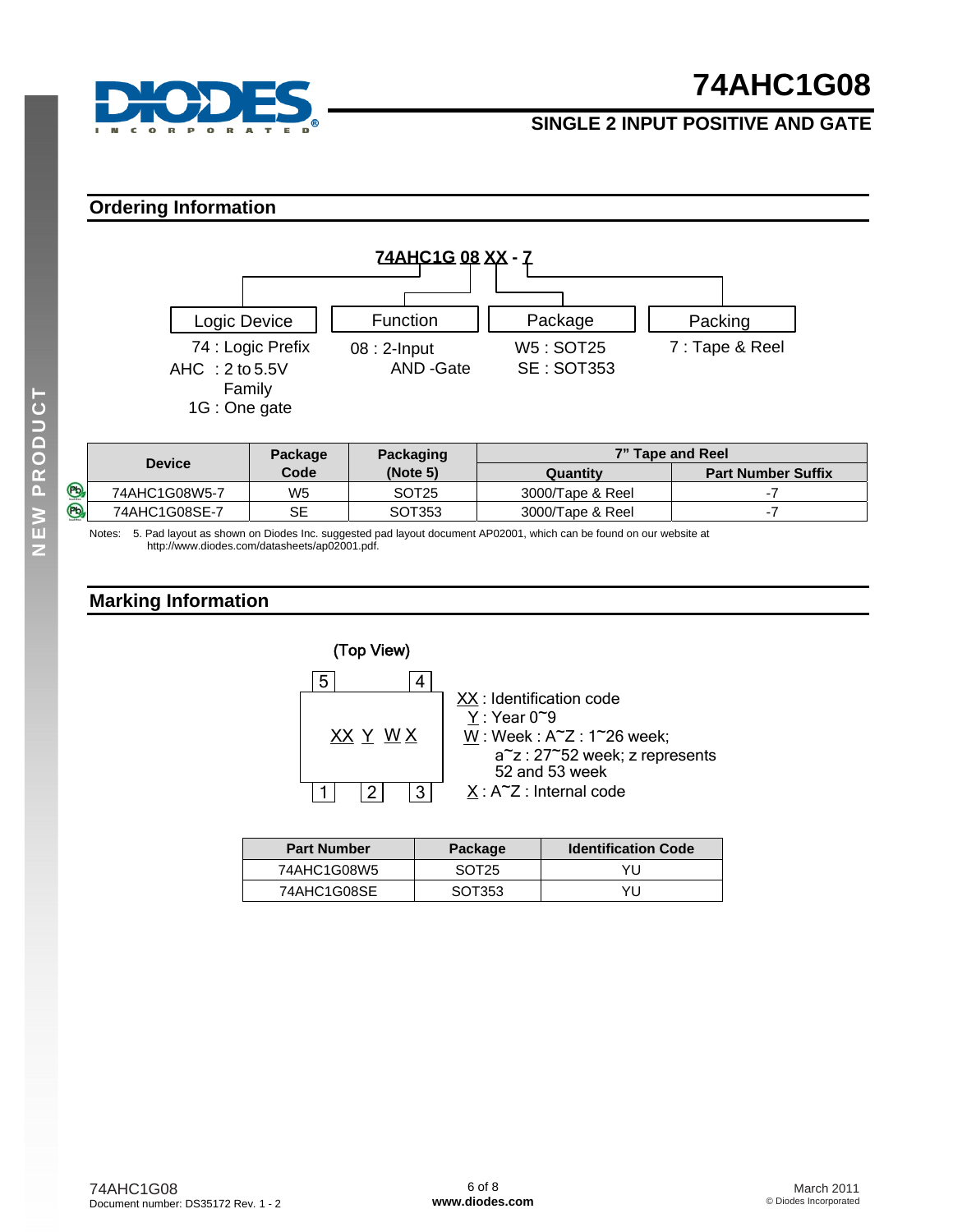

### **SINGLE 2 INPUT POSITIVE AND GATE**

### **Ordering Information**



|             |               | <b>Package</b> | Packaging         | 7" Tape and Reel |                           |
|-------------|---------------|----------------|-------------------|------------------|---------------------------|
|             | <b>Device</b> | Code           | (Note 5)          | Quantity         | <b>Part Number Suffix</b> |
| $\circledR$ | 74AHC1G08W5-7 | W5             | SOT <sub>25</sub> | 3000/Tape & Reel |                           |
| <b>Pb</b>   | 74AHC1G08SE-7 | SE             | SOT353            | 3000/Tape & Reel |                           |

Notes: 5. Pad layout as shown on Diodes Inc. suggested pad layout document AP02001, which can be found on our website at [http://www.diodes.com/datasheets/ap02001.pdf.](http://www.diodes.com/datasheets/ap02001.pdf) 

### **Marking Information**



| <b>Part Number</b> | Package           | <b>Identification Code</b> |
|--------------------|-------------------|----------------------------|
| 74AHC1G08W5        | SOT <sub>25</sub> | YU                         |
| 74AHC1G08SE        | SOT353            | YU                         |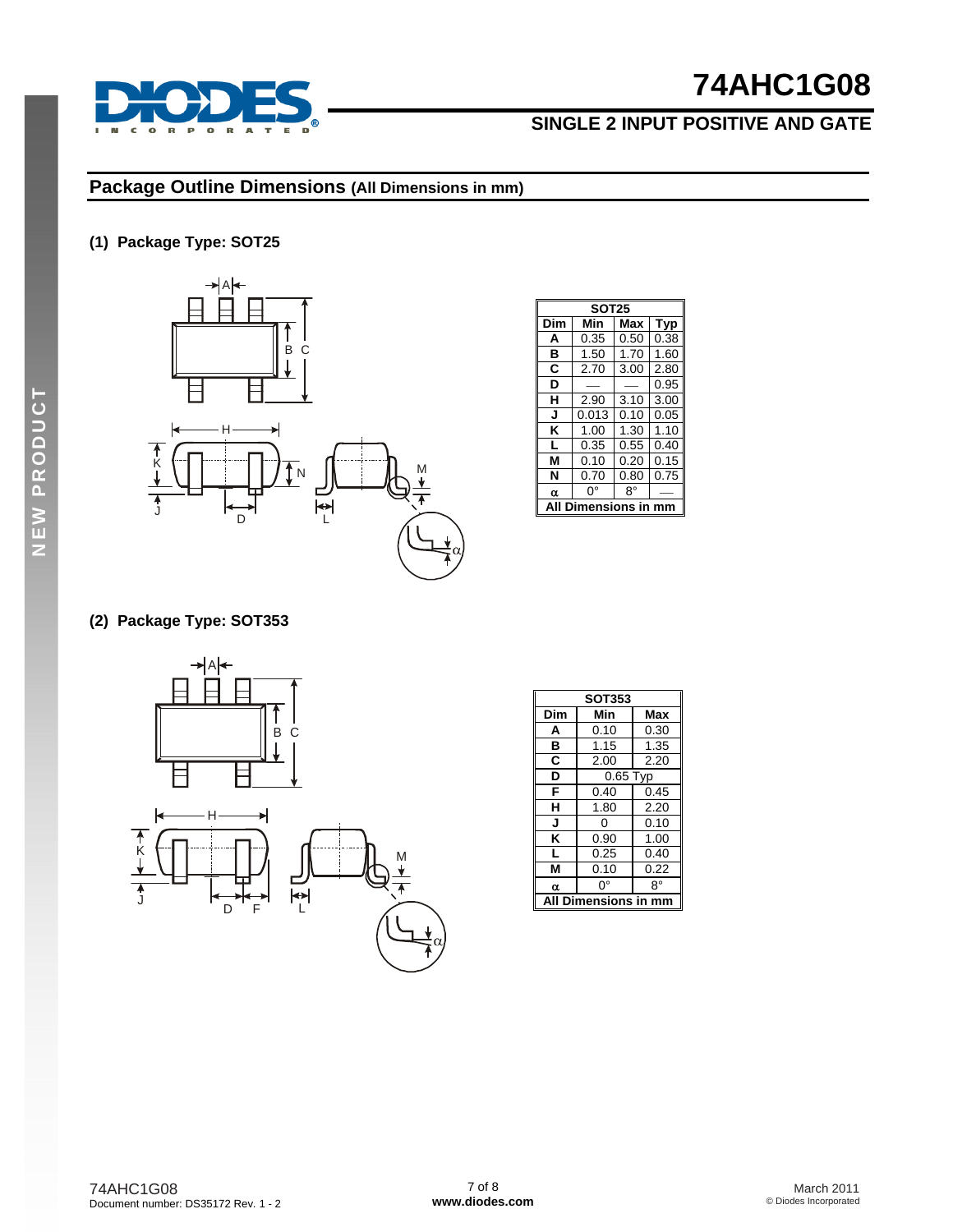

## **SINGLE 2 INPUT POSITIVE AND GATE**

### **Package Outline Dimensions (All Dimensions in mm)**

### **(1) Package Type: SOT25**



|     | <b>SOT25</b>      |            |      |  |  |  |  |  |  |
|-----|-------------------|------------|------|--|--|--|--|--|--|
| Dim | Min<br>Max<br>Typ |            |      |  |  |  |  |  |  |
| A   | 0.35              | 0.50       | 0.38 |  |  |  |  |  |  |
| в   | 1.50              | 1.70       | 1.60 |  |  |  |  |  |  |
| C   | 2.70              | 3.00       | 2.80 |  |  |  |  |  |  |
| D   |                   |            | 0.95 |  |  |  |  |  |  |
| н   | 2.90              | 3.10       | 3.00 |  |  |  |  |  |  |
| J   | 0.013             | 0.10       | 0.05 |  |  |  |  |  |  |
| κ   | 1.00              | 1.30       | 1.10 |  |  |  |  |  |  |
| L   | 0.35              | 0.55       | 0.40 |  |  |  |  |  |  |
| М   | 0.10              | 0.20       | 0.15 |  |  |  |  |  |  |
| N   | 0.70              | 0.80       | 0.75 |  |  |  |  |  |  |
| α   | 8°<br>ŋ۰          |            |      |  |  |  |  |  |  |
|     |                   | lensions i |      |  |  |  |  |  |  |

### **(2) Package Type: SOT353**



| Dim<br>Min<br>Max<br>A<br>0.10<br>0.30<br>1.35<br>в<br>1.15<br>C<br>2.00<br>2.20<br>D<br>0.65 Typ<br>0.45<br>F<br>0.40<br>н<br>1.80<br>2.20<br>J<br>0.10<br>ი<br>κ<br>0.90<br>1.00<br>0.25<br>0.40<br>L<br>м<br>0.10<br>0.22<br>8°<br>ŋ۰<br>α | <b>SOT353</b> |  |  |
|-----------------------------------------------------------------------------------------------------------------------------------------------------------------------------------------------------------------------------------------------|---------------|--|--|
|                                                                                                                                                                                                                                               |               |  |  |
|                                                                                                                                                                                                                                               |               |  |  |
|                                                                                                                                                                                                                                               |               |  |  |
|                                                                                                                                                                                                                                               |               |  |  |
|                                                                                                                                                                                                                                               |               |  |  |
|                                                                                                                                                                                                                                               |               |  |  |
|                                                                                                                                                                                                                                               |               |  |  |
|                                                                                                                                                                                                                                               |               |  |  |
|                                                                                                                                                                                                                                               |               |  |  |
|                                                                                                                                                                                                                                               |               |  |  |
|                                                                                                                                                                                                                                               |               |  |  |
|                                                                                                                                                                                                                                               |               |  |  |
| Dimensions in mm<br>A                                                                                                                                                                                                                         |               |  |  |